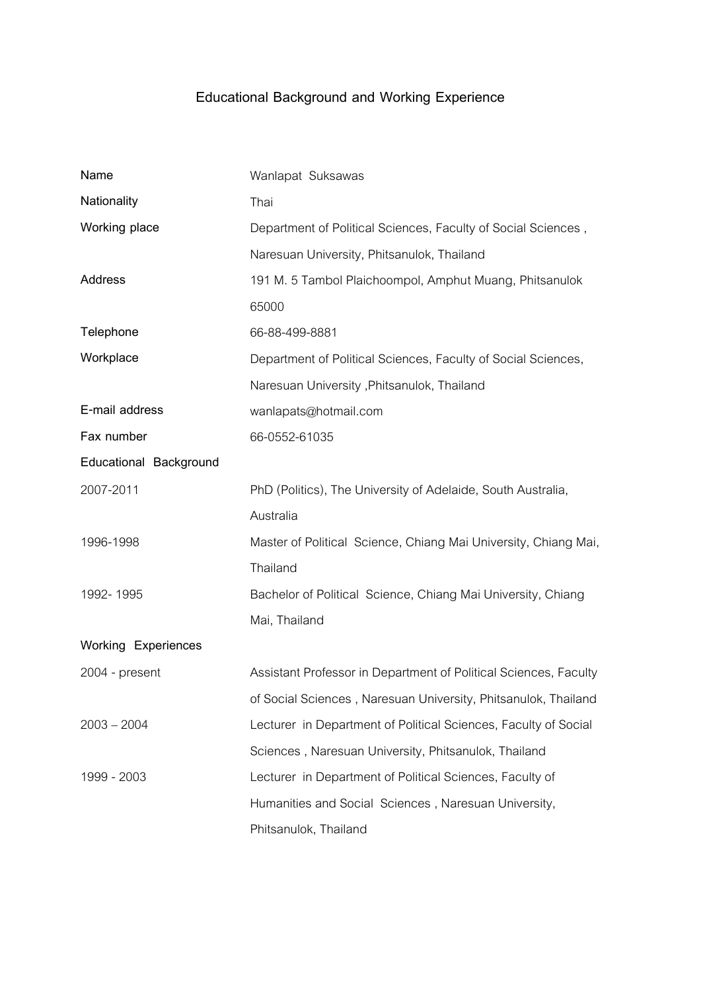## **Educational Background and Working Experience**

| Name                   | Wanlapat Suksawas                                                |
|------------------------|------------------------------------------------------------------|
| Nationality            | Thai                                                             |
| Working place          | Department of Political Sciences, Faculty of Social Sciences,    |
|                        | Naresuan University, Phitsanulok, Thailand                       |
| Address                | 191 M. 5 Tambol Plaichoompol, Amphut Muang, Phitsanulok          |
|                        | 65000                                                            |
| Telephone              | 66-88-499-8881                                                   |
| Workplace              | Department of Political Sciences, Faculty of Social Sciences,    |
|                        | Naresuan University, Phitsanulok, Thailand                       |
| E-mail address         | wanlapats@hotmail.com                                            |
| Fax number             | 66-0552-61035                                                    |
| Educational Background |                                                                  |
| 2007-2011              | PhD (Politics), The University of Adelaide, South Australia,     |
|                        | Australia                                                        |
| 1996-1998              | Master of Political Science, Chiang Mai University, Chiang Mai,  |
|                        | Thailand                                                         |
| 1992-1995              | Bachelor of Political Science, Chiang Mai University, Chiang     |
|                        | Mai, Thailand                                                    |
| Working Experiences    |                                                                  |
| 2004 - present         | Assistant Professor in Department of Political Sciences, Faculty |
|                        | of Social Sciences, Naresuan University, Phitsanulok, Thailand   |
| $2003 - 2004$          | Lecturer in Department of Political Sciences, Faculty of Social  |
|                        | Sciences, Naresuan University, Phitsanulok, Thailand             |
| 1999 - 2003            | Lecturer in Department of Political Sciences, Faculty of         |
|                        | Humanities and Social Sciences, Naresuan University,             |
|                        | Phitsanulok, Thailand                                            |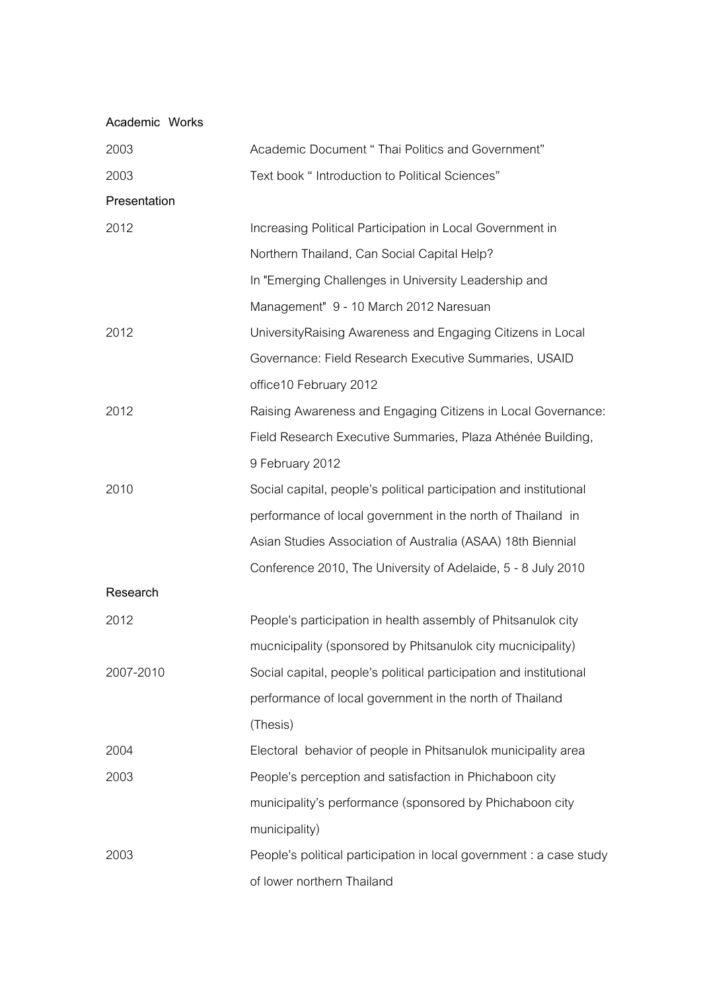| Academic Works |                                                                     |
|----------------|---------------------------------------------------------------------|
| 2003           | Academic Document " Thai Politics and Government"                   |
| 2003           | Text book " Introduction to Political Sciences"                     |
| Presentation   |                                                                     |
| 2012           | Increasing Political Participation in Local Government in           |
|                | Northern Thailand, Can Social Capital Help?                         |
|                | In "Emerging Challenges in University Leadership and                |
|                | Management" 9 - 10 March 2012 Naresuan                              |
| 2012           | University Raising Awareness and Engaging Citizens in Local         |
|                | Governance: Field Research Executive Summaries, USAID               |
|                | office10 February 2012                                              |
| 2012           | Raising Awareness and Engaging Citizens in Local Governance:        |
|                | Field Research Executive Summaries, Plaza Athénée Building,         |
|                | 9 February 2012                                                     |
| 2010           | Social capital, people's political participation and institutional  |
|                | performance of local government in the north of Thailand in         |
|                | Asian Studies Association of Australia (ASAA) 18th Biennial         |
|                | Conference 2010, The University of Adelaide, 5 - 8 July 2010        |
| Research       |                                                                     |
| 2012           | People's participation in health assembly of Phitsanulok city       |
|                | mucnicipality (sponsored by Phitsanulok city mucnicipality)         |
| 2007-2010      | Social capital, people's political participation and institutional  |
|                | performance of local government in the north of Thailand            |
|                | (Thesis)                                                            |
| 2004           | Electoral behavior of people in Phitsanulok municipality area       |
| 2003           | People's perception and satisfaction in Phichaboon city             |
|                | municipality's performance (sponsored by Phichaboon city            |
|                | municipality)                                                       |
| 2003           | People's political participation in local government : a case study |
|                | of lower northern Thailand                                          |